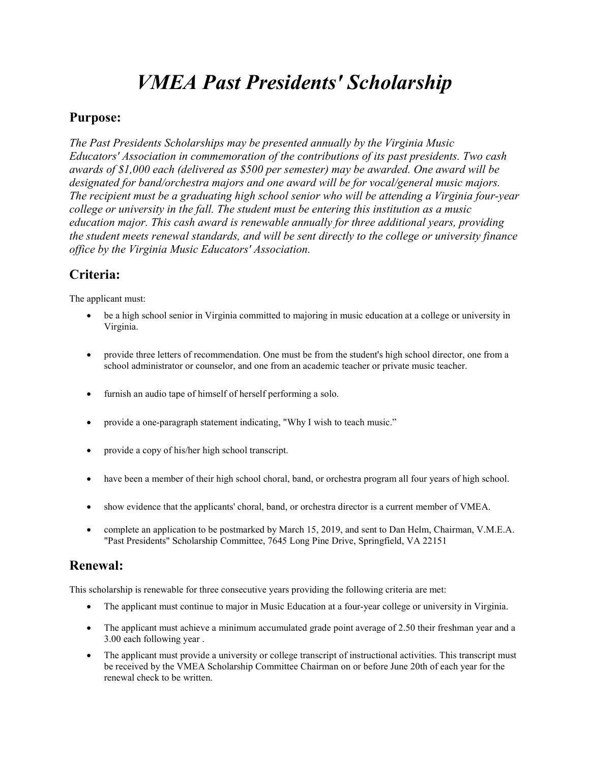# VMEA Past Presidents' Scholarship

#### Purpose:

The Past Presidents Scholarships may be presented annually by the Virginia Music Educators' Association in commemoration of the contributions of its past presidents. Two cash awards of \$1,000 each (delivered as \$500 per semester) may be awarded. One award will be designated for band/orchestra majors and one award will be for vocal/general music majors. The recipient must be a graduating high school senior who will be attending a Virginia four-year college or university in the fall. The student must be entering this institution as a music education major. This cash award is renewable annually for three additional years, providing the student meets renewal standards, and will be sent directly to the college or university finance office by the Virginia Music Educators' Association.

### Criteria:

The applicant must:

- be a high school senior in Virginia committed to majoring in music education at a college or university in Virginia.
- provide three letters of recommendation. One must be from the student's high school director, one from a school administrator or counselor, and one from an academic teacher or private music teacher.
- furnish an audio tape of himself of herself performing a solo.
- provide a one-paragraph statement indicating, "Why I wish to teach music."
- provide a copy of his/her high school transcript.
- have been a member of their high school choral, band, or orchestra program all four years of high school.
- show evidence that the applicants' choral, band, or orchestra director is a current member of VMEA.
- complete an application to be postmarked by March 15, 2019, and sent to Dan Helm, Chairman, V.M.E.A. "Past Presidents" Scholarship Committee, 7645 Long Pine Drive, Springfield, VA 22151

#### Renewal:

This scholarship is renewable for three consecutive years providing the following criteria are met:

- The applicant must continue to major in Music Education at a four-year college or university in Virginia.
- The applicant must achieve a minimum accumulated grade point average of 2.50 their freshman year and a 3.00 each following year .
- The applicant must provide a university or college transcript of instructional activities. This transcript must be received by the VMEA Scholarship Committee Chairman on or before June 20th of each year for the renewal check to be written.